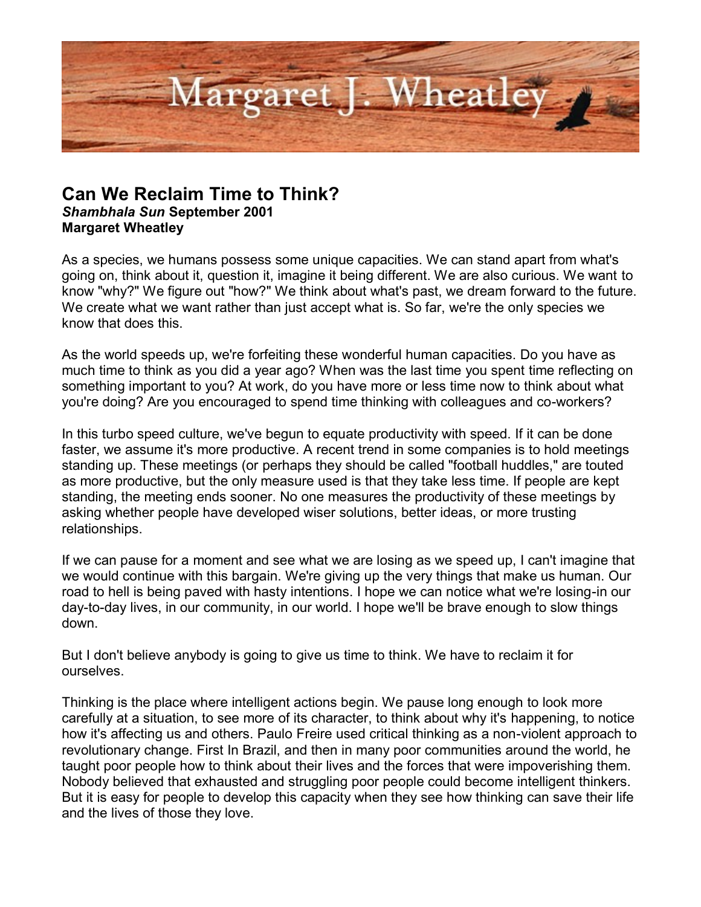

## **Can We Reclaim Time to Think?** *Shambhala Sun* **September 2001 Margaret Wheatley**

As a species, we humans possess some unique capacities. We can stand apart from what's going on, think about it, question it, imagine it being different. We are also curious. We want to know "why?" We figure out "how?" We think about what's past, we dream forward to the future. We create what we want rather than just accept what is. So far, we're the only species we know that does this.

As the world speeds up, we're forfeiting these wonderful human capacities. Do you have as much time to think as you did a year ago? When was the last time you spent time reflecting on something important to you? At work, do you have more or less time now to think about what you're doing? Are you encouraged to spend time thinking with colleagues and co-workers?

In this turbo speed culture, we've begun to equate productivity with speed. If it can be done faster, we assume it's more productive. A recent trend in some companies is to hold meetings standing up. These meetings (or perhaps they should be called "football huddles," are touted as more productive, but the only measure used is that they take less time. If people are kept standing, the meeting ends sooner. No one measures the productivity of these meetings by asking whether people have developed wiser solutions, better ideas, or more trusting relationships.

If we can pause for a moment and see what we are losing as we speed up, I can't imagine that we would continue with this bargain. We're giving up the very things that make us human. Our road to hell is being paved with hasty intentions. I hope we can notice what we're losing-in our day-to-day lives, in our community, in our world. I hope we'll be brave enough to slow things down.

But I don't believe anybody is going to give us time to think. We have to reclaim it for ourselves.

Thinking is the place where intelligent actions begin. We pause long enough to look more carefully at a situation, to see more of its character, to think about why it's happening, to notice how it's affecting us and others. Paulo Freire used critical thinking as a non-violent approach to revolutionary change. First In Brazil, and then in many poor communities around the world, he taught poor people how to think about their lives and the forces that were impoverishing them. Nobody believed that exhausted and struggling poor people could become intelligent thinkers. But it is easy for people to develop this capacity when they see how thinking can save their life and the lives of those they love.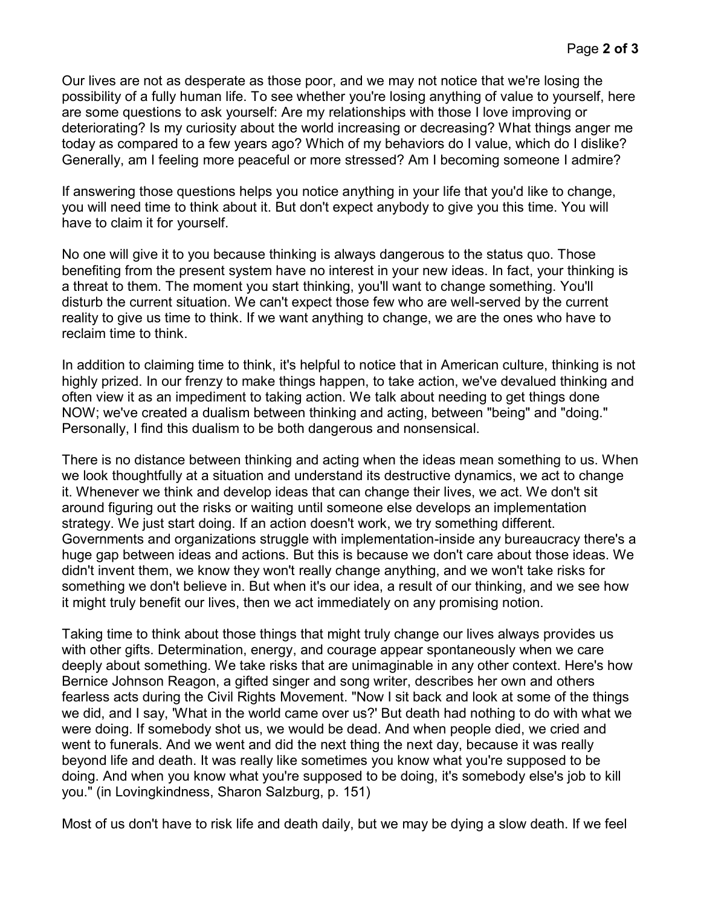Our lives are not as desperate as those poor, and we may not notice that we're losing the possibility of a fully human life. To see whether you're losing anything of value to yourself, here are some questions to ask yourself: Are my relationships with those I love improving or deteriorating? Is my curiosity about the world increasing or decreasing? What things anger me today as compared to a few years ago? Which of my behaviors do I value, which do I dislike? Generally, am I feeling more peaceful or more stressed? Am I becoming someone I admire?

If answering those questions helps you notice anything in your life that you'd like to change, you will need time to think about it. But don't expect anybody to give you this time. You will have to claim it for yourself.

No one will give it to you because thinking is always dangerous to the status quo. Those benefiting from the present system have no interest in your new ideas. In fact, your thinking is a threat to them. The moment you start thinking, you'll want to change something. You'll disturb the current situation. We can't expect those few who are well-served by the current reality to give us time to think. If we want anything to change, we are the ones who have to reclaim time to think.

In addition to claiming time to think, it's helpful to notice that in American culture, thinking is not highly prized. In our frenzy to make things happen, to take action, we've devalued thinking and often view it as an impediment to taking action. We talk about needing to get things done NOW; we've created a dualism between thinking and acting, between "being" and "doing." Personally, I find this dualism to be both dangerous and nonsensical.

There is no distance between thinking and acting when the ideas mean something to us. When we look thoughtfully at a situation and understand its destructive dynamics, we act to change it. Whenever we think and develop ideas that can change their lives, we act. We don't sit around figuring out the risks or waiting until someone else develops an implementation strategy. We just start doing. If an action doesn't work, we try something different. Governments and organizations struggle with implementation-inside any bureaucracy there's a huge gap between ideas and actions. But this is because we don't care about those ideas. We didn't invent them, we know they won't really change anything, and we won't take risks for something we don't believe in. But when it's our idea, a result of our thinking, and we see how it might truly benefit our lives, then we act immediately on any promising notion.

Taking time to think about those things that might truly change our lives always provides us with other gifts. Determination, energy, and courage appear spontaneously when we care deeply about something. We take risks that are unimaginable in any other context. Here's how Bernice Johnson Reagon, a gifted singer and song writer, describes her own and others fearless acts during the Civil Rights Movement. "Now I sit back and look at some of the things we did, and I say, 'What in the world came over us?' But death had nothing to do with what we were doing. If somebody shot us, we would be dead. And when people died, we cried and went to funerals. And we went and did the next thing the next day, because it was really beyond life and death. It was really like sometimes you know what you're supposed to be doing. And when you know what you're supposed to be doing, it's somebody else's job to kill you." (in Lovingkindness, Sharon Salzburg, p. 151)

Most of us don't have to risk life and death daily, but we may be dying a slow death. If we feel